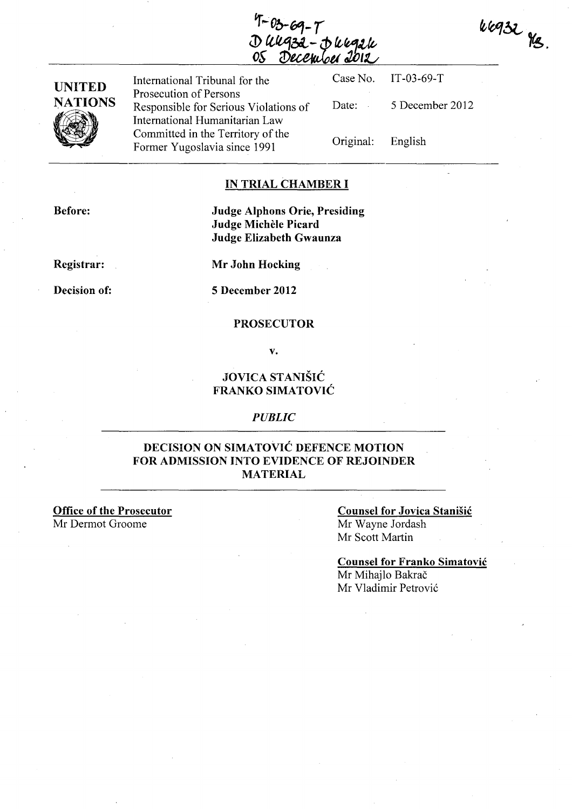$k$ egz $\chi$ kg.

| <b>UNITED</b><br><b>NATIONS</b><br>K | International Tribunal for the                                                                    |                   | Case No. IT-03-69-T |
|--------------------------------------|---------------------------------------------------------------------------------------------------|-------------------|---------------------|
|                                      | Prosecution of Persons<br>Responsible for Serious Violations of<br>International Humanitarian Law | Date:             | 5 December 2012     |
|                                      | Committed in the Territory of the<br>Former Yugoslavia since 1991                                 | Original: English |                     |

### IN TRIAL CHAMBER I

Before:

### Judge Alphons Orie, Presiding Judge Michele Picard Judge Elizabeth Gwaunza

Registrar:

Mr John Hocking

Decision of:

5 December 2012

### **PROSECUTOR**

v.

### JOVICA STANISIC FRANKO SIMATOVIC

#### *PUBLIC*

### DECISION ON SIMATOVIC DEFENCE MOTION FOR ADMISSION INTO EVIDENCE OF REJOINDER MATERIAL

Office of the Prosecutor Mr Dermot Groome

### Counsel for Jovica Stanisic Mr Wayne Jordash

Mr Scott Martin

Counsel for Franko Simatovic Mr Mihajlo Bakrač Mr Vladimir Petrović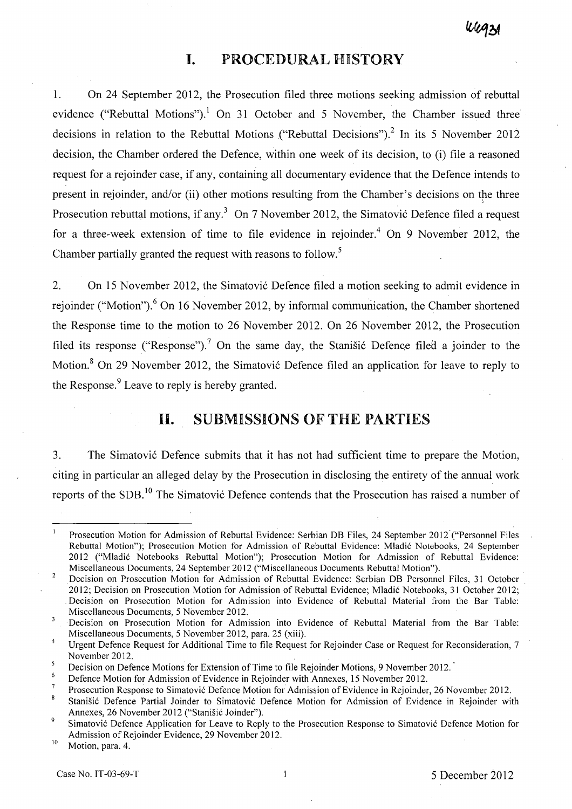## **I. PROCEDURAL HISTORY**

1. On 24 September 2012, the Prosecution filed three motions seeking admission of rebuttal evidence ("Rebuttal Motions").<sup>1</sup> On 31 October and 5 November, the Chamber issued three decisions in relation to the Rebuttal Motions ("Rebuttal Decisions").<sup>2</sup> In its 5 November 2012 decision, the Chamber ordered the Defence, within one week of its decision, to (i) file a reasoned request for a rejoinder case, if any, containing all documentary evidence that the Defence intends to present in rejoinder, and/or (ii) other motions resulting from the Chamber's decisions on the three Prosecution rebuttal motions, if any.<sup>3</sup> On 7 November 2012, the Simatović Defence filed a request for a three-week extension of time to file evidence in rejoinder.<sup>4</sup> On 9 November 2012, the Chamber partially granted the request with reasons to follow.<sup>5</sup>

2. On 15 November 2012, the Simatović Defence filed a motion seeking to admit evidence in rejoinder ("Motion").<sup>6</sup> On 16 November 2012, by informal communication, the Chamber shortened the Response time to the motion to 26 November 2012. On 26 November 2012, the Prosecution filed its response ("Response").<sup>7</sup> On the same day, the Stanisic Defence filed a joinder to the Motion.<sup>8</sup> On 29 November 2012, the Simatović Defence filed an application for leave to reply to the Response.<sup>9</sup> Leave to reply is hereby granted.

## **11. SUBMISSIONS OF THE PARTIES**

3. The Simatovi6 Defence submits that it has not had sufficient time to prepare the Motion, citing in particular an alleged delay by the Prosecution in disclosing the entirety of the annual work reports of the SDB.<sup>10</sup> The Simatović Defence contends that the Prosecution has raised a number of

Prosecution Motion for Admission of Rebuttal Evidence: Serbian DB Files, 24 September 2012 ("Personnel Files Rebuttal Motion"); Prosecution Motion for Admission of Rebuttal Evidence: Mladić Notebooks, 24 September 2012 ("Mladić Notebooks Rebuttal Motion"); Prosecution Motion for Admission of Rebuttal Evidence: Miscellaneous Documents, 24 September 2012 ("Miscellaneous Documents Rebuttal Motion").

<sup>10</sup> Motion, para. 4.

 $\overline{2}$ Decision on Prosecution Motion for Admission of Rebuttal Evidence: Serbian DB Personnel Files, 31 October . 2012; Decision on Prosecution Motion for Admission of Rebuttal Evidence; Mladić Notebooks, 31 October 2012; Decision on Prosecution Motion for Admission into Evidence of Rebuttal Material from the Bar Table: Miscellaneous Documents, 5 November 2012.

 $\overline{\mathbf{3}}$ Decision on Prosecution Motion for Admission into Evidence of Rebuttal Material from the Bar Table: Miscellaneous Documents, 5 November 2012, para. 25 (xiii).

<sup>4</sup>  Urgent Defence Request for Additional Time to file Request for Rejoinder Case or Request for Reconsideration, 7 November 2012.

 $\overline{\mathbf{5}}$ Decision on Defence Motions for Extension of Time to file Rejoinder Motions, 9 November 2012.

<sup>&</sup>lt;sup>6</sup> Defence Motion for Admission of Evidence in Rejoinder with Annexes, 15 November 2012.

Prosecution Response to Simatović Defence Motion for Admission of Evidence in Rejoinder, 26 November 2012.

<sup>8</sup> Stanišić Defence Partial Joinder to Simatović Defence Motion for Admission of Evidence in Rejoinder with Annexes, 26 November 2012 ("Stanišić Joinder").

<sup>&</sup>lt;sup>9</sup> Simatovic Defence Application for Leave to Reply to the Prosecution Response to Simatovic Defence Motion for Admission of Rejoinder Evidence, 29 November 2012.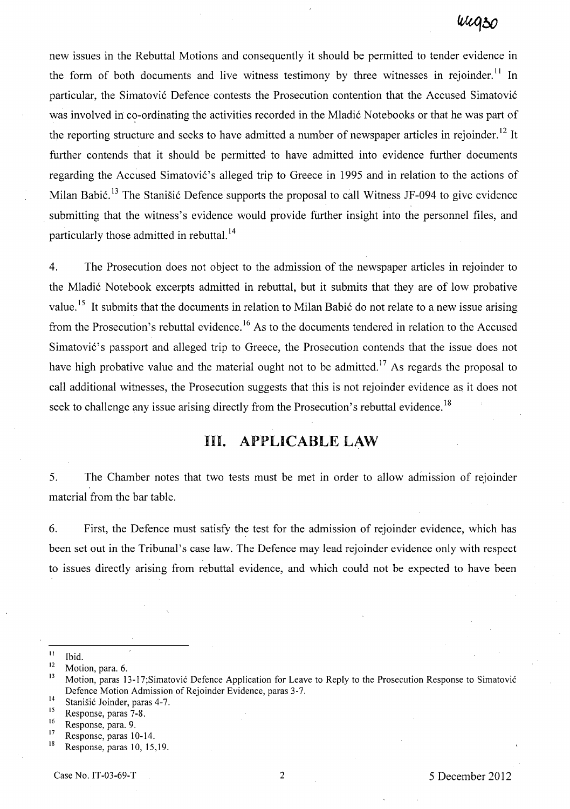new issues in the Rebuttal Motions and consequently it should be permitted to tender evidence in the form of both documents and live witness testimony by three witnesses in rejoinder.<sup>11</sup> In particular, the Simatović Defence contests the Prosecution contention that the Accused Simatović was involved in co-ordinating the activities recorded in the Mladić Notebooks or that he was part of the reporting structure and seeks to have admitted a number of newspaper articles in rejoinder.<sup>12</sup> It further contends that it should be permitted to have admitted into evidence further documents regarding the Accused Simatović's alleged trip to Greece in 1995 and in relation to the actions of Milan Babić.<sup>13</sup> The Stanišić Defence supports the proposal to call Witness JF-094 to give evidence submitting that the witness's evidence would provide further insight into the personnel files, and particularly those admitted in rebuttal.<sup>14</sup>

4. The Prosecution does not object to the admission of the newspaper articles in rejoinder to the Mladić Notebook excerpts admitted in rebuttal, but it submits that they are of low probative value.<sup>15</sup> It submits that the documents in relation to Milan Babić do not relate to a new issue arising from the Prosecution's rebuttal evidence.<sup>16</sup> As to the documents tendered in relation to the Accused Simatović's passport and alleged trip to Greece, the Prosecution contends that the issue does not have high probative value and the material ought not to be admitted.<sup>17</sup> As regards the proposal to call additional witnesses, the Prosecution suggests that this is not rejoinder evidence as it does not seek to challenge any issue arising directly from the Prosecution's rebuttal evidence.<sup>18</sup>

# **Ill. APPLICABLELAW**

5. The Chamber notes that two tests must be met in order to allow admission of rejoinder material from the bar table.

6. First, the Defence must satisfy the test for the admission of rejoinder evidence, which has been set out in the Tribunal's case law. The Defence may lead rejoinder evidence only with respect to issues directly arising from rebuttal evidence, and which could not be expected to have been

 $\frac{11}{12}$  Ibid.

 $\frac{12}{13}$  Motion, para. 6.

Motion, paras 13-17;Simatović Defence Application for Leave to Reply to the Prosecution Response to Simatović Defence Motion Admission of Rejoinder Evidence, paras 3-7.

<sup>&</sup>lt;sup>14</sup> Stanišić Joinder, paras 4-7.<br><sup>15</sup> Benonse paras 7.8

 $^{15}$  Response, paras 7-8.

 $16$  Response, para. 9.

 $17$  Response, paras 10-14.

Response, paras 10, 15,19.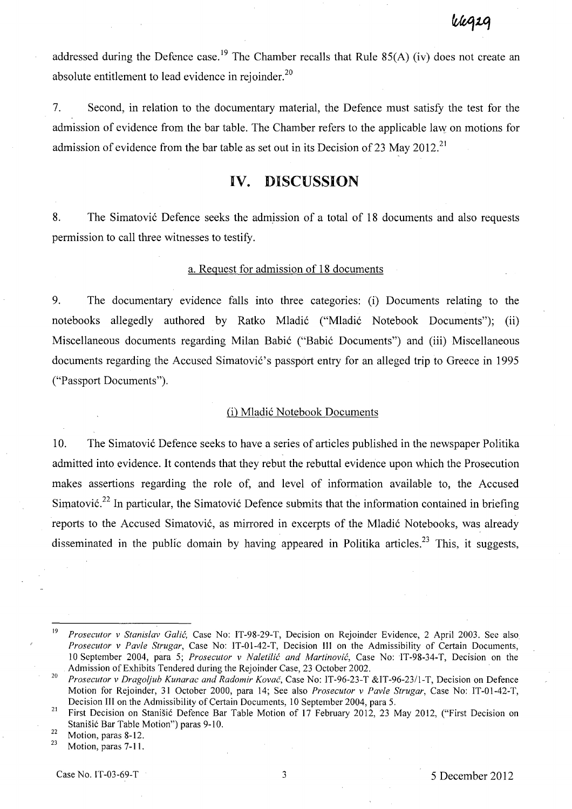vegsg

addressed during the Defence case.<sup>19</sup> The Chamber recalls that Rule 85(A) (iv) does not create an absolute entitlement to lead evidence in rejoinder.<sup>20</sup>

7. Second, in relation to the documentary material, the Defence must satisfy the test for the admission of evidence from the bar table. The Chamber refers to the applicable law on motions for admission of evidence from the bar table as set out in its Decision of 23 May 2012.<sup>21</sup>

### **IV. DISCUSSION**

8. The Simatović Defence seeks the admission of a total of 18 documents and also requests permission to call three witnesses to testify.

#### a. Request for admission of 18 documents

9. The documentary evidence falls into three categories: (i) Documents relating to the notebooks allegedly authored by Ratko Mladić ("Mladić Notebook Documents"); (ii) Miscellaneous documents regarding Milan Babić ("Babić Documents") and (iii) Miscellaneous documents regarding the Accused Simatović's passport entry for an alleged trip to Greece in 1995 ("Passport Documents").

### (i) Mladi6 Notebook Documents

10. The Simatovi6 Defence seeks to have a series of articles published in the newspaper Politika admitted into evidence. It contends that they rebut the rebuttal evidence upon which the Prosecution makes assertions regarding the role of, and level of information available to, the Accused Simatović.<sup>22</sup> In particular, the Simatović Defence submits that the information contained in briefing reports to the Accused Simatović, as mirrored in excerpts of the Mladić Notebooks, was already disseminated in the public domain by having appeared in Politika articles.<sup>23</sup> This, it suggests,

<sup>19</sup>*Prosecutor v Stanislav Galic,* Case No: IT-98-29-T, Decision on Rejoinder Evidence, 2 April 2003. See also *Prosecutor v Pavle Strugar,* Case No: IT-01-42-T, Decision III on the Admissibility of Certain Documents, 10 September 2004, para 5; *Prosecutor v Naletilic and Martinovic,* Case No:IT-98-34-T, Decision on the Admission of Exhibits Tendered during the Rejoinder Case, 23 October 2002.

*<sup>20</sup> Prosecutor v Dragoljub Kunarac and Radomir Kovac,* Case No: IT-96-23-T &IT-96-23/1-T, Decision on Defence Motion for Rejoinder, 31 October 2000, para 14; See also *Prosecutor v Pavle Strugar,* Case No: IT-01-42-T, Decision III on the Admissibility of Certain Documents, 10 September 2004, para 5.

<sup>&</sup>lt;sup>21</sup> First Decision on Stanišić Defence Bar Table Motion of 17 February 2012, 23 May 2012, ("First Decision on Stanišić Bar Table Motion") paras 9-10.

 $\frac{22}{23}$  Motion, paras 8-12.

Motion, paras 7-11.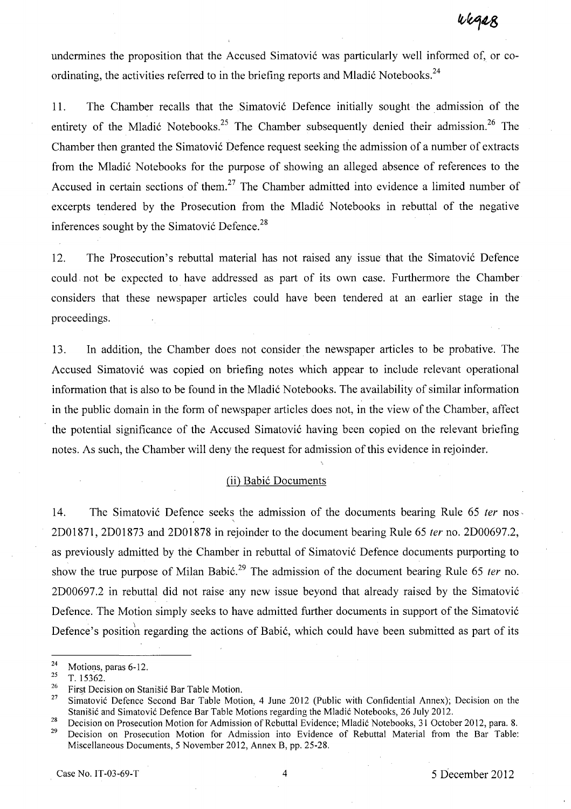undermines the proposition that the Accused Simatović was particularly well informed of, or coordinating, the activities referred to in the briefing reports and Mladić Notebooks.<sup>24</sup>

11. The Chamber recalls that the Simatović Defence initially sought the admission of the entirety of the Mladić Notebooks.<sup>25</sup> The Chamber subsequently denied their admission.<sup>26</sup> The Chamber then granted the Simatović Defence request seeking the admission of a number of extracts from the Mladić Notebooks for the purpose of showing an alleged absence of references to the Accused in certain sections of them.<sup>27</sup> The Chamber admitted into evidence a limited number of excerpts tendered by the Prosecution from the Mladić Notebooks in rebuttal of the negative inferences sought by the Simatović Defence.<sup>28</sup>

12. The Prosecution's rebuttal material has not raised any issue that the Simatović Defence could. not be expected to have addressed as part of its own case. Furthermore the Chamber considers that these newspaper articles could have been tendered at an earlier stage in the proceedings.

13. In addition, the Chamber does not consider the newspaper articles to be probative. The Accused Simatović was copied on briefing notes which appear to include relevant operational information that is also to be found in the Mladić Notebooks. The availability of similar information in the public domain in the form of newspaper articles does not, in the view of the Chamber, affect the potential significance of the Accused Simatović having been copied on the relevant briefing notes. As such, the Chamber will deny the request for admission of this evidence in rejoinder.

#### (ii) Babić Documents

14. The Simatović Defence seeks the admission of the documents bearing Rule 65 ter nos. 2D01871, 2D01873 and 2D01878 in rejoinder to the document bearing Rule 65 fer no. 2D00697.2, as previously admitted by the Chamber in rebuttal of Simatović Defence documents purporting to show the true purpose of Milan Babić.<sup>29</sup> The admission of the document bearing Rule 65 *ter* no. 2D00697.2 in rebuttal did not raise any new issue beyond that already raised by the Simatovi6 Defence. The Motion simply seeks to have admitted further documents in support of the Simatovi6 Defence's position regarding the actions of Babić, which could have been submitted as part of its

 $\frac{24}{25}$  Motions, paras 6-12.

T. 15362.

<sup>&</sup>lt;sup>26</sup> First Decision on Stanišić Bar Table Motion.<br><sup>27</sup> Simatović Defence Second Bar Table Motio

Simatovic Defence Second Bar Table Motion, 4 June 2012 (Public with Confidential Annex); Decision on the Stanisic and Simatovic Defence Bar Table Motions regarding the Mladic Notebooks, 26 July 2012.

<sup>&</sup>lt;sup>28</sup> Decision on Prosecution Motion for Admission of Rebuttal Evidence; Mladić Notebooks, 31 October 2012, para. 8.<br><sup>29</sup> Decision on Prosecution Motion for Admission inte Evidence of Behuttal Material from the Ben Tebles Decision on Prosecution Motion for Admission into Evidence of Rebuttal Material from the Bar Table: Miscellaneous Documents, 5 November 2012, Annex B, pp. 25-28.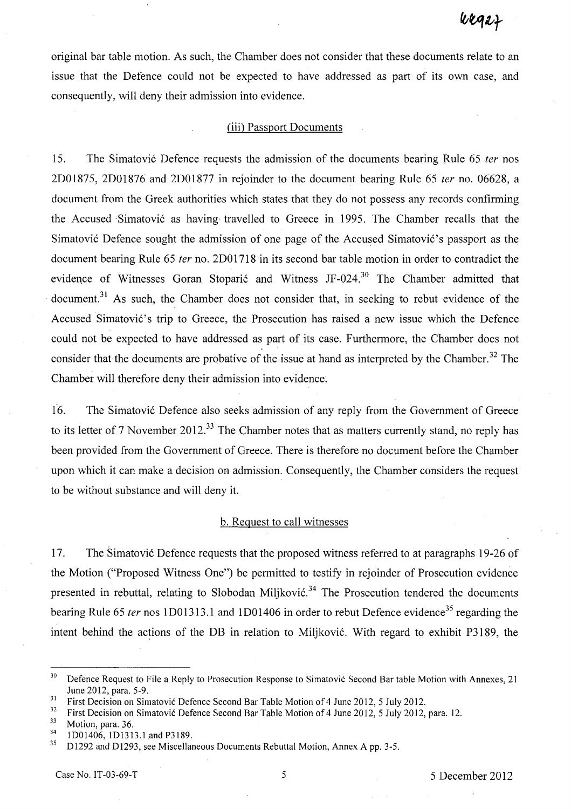original bar table motion. As such, the Chamber does not consider that these documents relate to an issue that the Defence could not be expected to have addressed as part of its own case, and consequently, will deny their admission into evidence.

#### (iii) Passport Documents

15. The Simatović Defence requests the admission of the documents bearing Rule 65 *ter* nos 2D01875, 2D01876 and 2D01877 in rejoinder to the document bearing Rule 65 fer no. 06628, a document from the Greek authorities which states that they do not possess any records confirming the Accused -Simatovi6 as having'travelled to Greece in 1995. The Chamber recalls that the Simatović Defence sought the admission of one page of the Accused Simatović's passport as the document bearing Rule 65 *ter* no. 2D01718 in its second bar table motion in order to contradict the evidence of Witnesses Goran Stoparić and Witness JF-024.<sup>30</sup> The Chamber admitted that document.<sup>31</sup> As such, the Chamber does not consider that, in seeking to rebut evidence of the Accused Simatović's trip to Greece, the Prosecution has raised a new issue which the Defence could not be expected to have addressed as part of its case. Furthermore, the Chamber does not consider that the documents are probative of the issue at hand as interpreted by the Chamber.<sup>32</sup> The Chamber will therefore deny their admission into evidence.

16. The Simatović Defence also seeks admission of any reply from the Government of Greece to its letter of 7 November 2012.<sup>33</sup> The Chamber notes that as matters currently stand, no reply has been provided from the Government of Greece. There is therefore no document before the Chamber upon which it can make a decision on admission. Consequently, the Chamber considers the request to be without substance and will deny it.

### b. Request to call witnesses

17. The Simatović Defence requests that the proposed witness referred to at paragraphs 19-26 of the Motion ("Proposed Witness One") be permitted to testify in rejoinder of Prosecution evidence presented in rebuttal, relating to Slobodan Miliković.<sup>34</sup> The Prosecution tendered the documents bearing Rule 65 ter nos 1D01313.1 and 1D01406 in order to rebut Defence evidence<sup>35</sup> regarding the intent behind the actions of the DB in relation to Miljković. With regard to exhibit P3189, the

 $30$  Defence Request to File a Reply to Prosecution Response to Simatović Second Bar table Motion with Annexes, 21 June 2012, para. 5-9.

<sup>&</sup>lt;sup>31</sup> First Decision on Simatovic Defence Second Bar Table Motion of 4 June 2012, 5 July 2012.

<sup>&</sup>lt;sup>32</sup> First Decision on Simatovic Defence Second Bar Table Motion of 4 June 2012, 5 July 2012, para. 12.

 $\frac{33}{34}$  Motion, para. 36.

 $^{34}$  1D01406, 1D1313.1 and P3189.

D1292 and D1293, see Miscellaneous Documents Rebuttal Motion, Annex A pp. 3-5.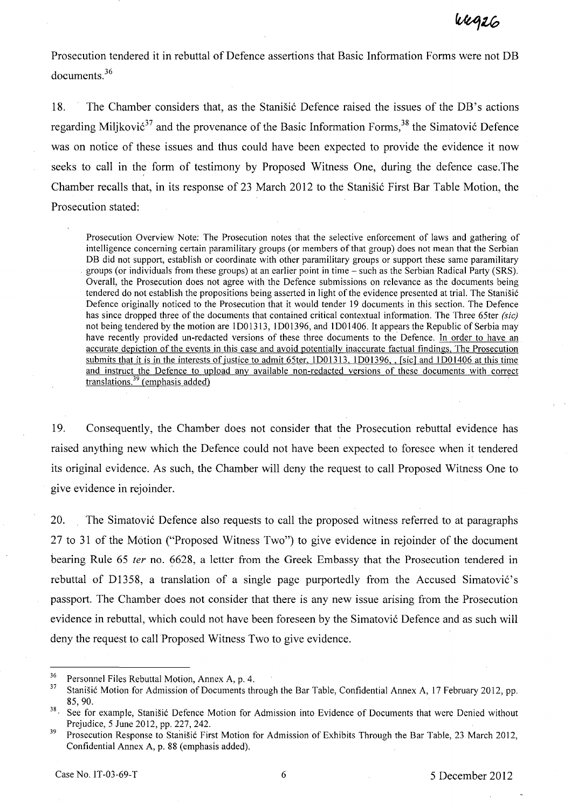Prosecution tendered it in rebuttal of Defence assertions that Basic Information Forms were not DB documents.<sup>36</sup>

18. The Chamber considers that, as the Stanistic Defence raised the issues of the DB's actions regarding Milikovi $\acute{\sigma}^3$  and the provenance of the Basic Information Forms,  $^{38}$  the Simatović Defence was on notice of these issues and thus could have been expected to provide the evidence it now seeks to call in the form of testimony by Proposed Witness One, during the defence case. The Chamber recalls that, in its response of 23 March 2012 to the Stanistic First Bar Table Motion, the Prosecution stated:

Prosecution Overview Note: The Prosecution notes that the selective enforcement of laws and gathering of intelligence concerning certain paramilitary groups (or members of that group) does not mean that the Serbian DB did not support, establish or coordinate with other paramilitary groups or support these same paramilitary groups (or individuals from these groups) at an earlier point in time - such as the Serbian Radical Party (SRS). Overall, the Prosecution does not agree with the Defence submissions on relevance as the documents being tendered do not establish the propositions being asserted in light of the evidence presented at trial. The Stanisic Defence originally noticed to the Prosecution that it would tender 19 documents in this section. The Defence has since dropped three of the documents that contained critical contextual information. The Three 65ter *(sic)*  not being tendered by the motion are lD01313, lD01396, and lD01406. It appears the Republic of Serbia may have recently provided un-redacted versions of these three documents to the Defence. In order to have an accurate depiction of the events in this case and avoid potentially inaccurate factual findings, The Prosecution submits that it is in the interests of justice to admit 65ter, 1D01313, 1D01396, , [sic] and 1D01406 at this time and instruct the Defence to upload any available non-redacted versions of these documents with correct translations.<sup>39</sup> (emphasis added)

19. Consequently, the Chamber does not consider that the Prosecution rebuttal evidence has raised anything new which the Defence could not have been expected to foresee when it tendered its original evidence. As such, the Chamber will deny the request to call Proposed Witness One to give evidence in rejoinder.

20. The Simatović Defence also requests to call the proposed witness referred to at paragraphs 27 to 31 of the Motion ("Proposed Witness Two") to give evidence in rejoinder of the document bearing Rule 65 ter no. 6628, a letter from the Greek Embassy that the Prosecution tendered in rebuttal of D1358, a translation of a single page purportedly from the Accused Simatović's passport. The Chamber does not consider that there is any new issue arising from the Prosecution evidence in rebuttal, which could not have been foreseen by the Simatović Defence and as such will deny the request to call Proposed Witness Two to give evidence.

<sup>&</sup>lt;sup>36</sup> Personnel Files Rebuttal Motion, Annex A, p. 4.<br><sup>37</sup> Stanišić Motion for Admission of Documents the

<sup>37</sup> Stanisic Motion for Admission of Documents through the Bar Table, Confidential Annex A, 17 February 2012, pp. 85,90.

<sup>&</sup>lt;sup>38</sup> See for example, Stanišić Defence Motion for Admission into Evidence of Documents that were Denied without Prejudice, 5 June 2012, pp. 227, 242.

<sup>&</sup>lt;sup>39</sup> Prosecution Response to Stanišić First Motion for Admission of Exhibits Through the Bar Table, 23 March 2012, Confidential Annex A, p. 88 (emphasis added).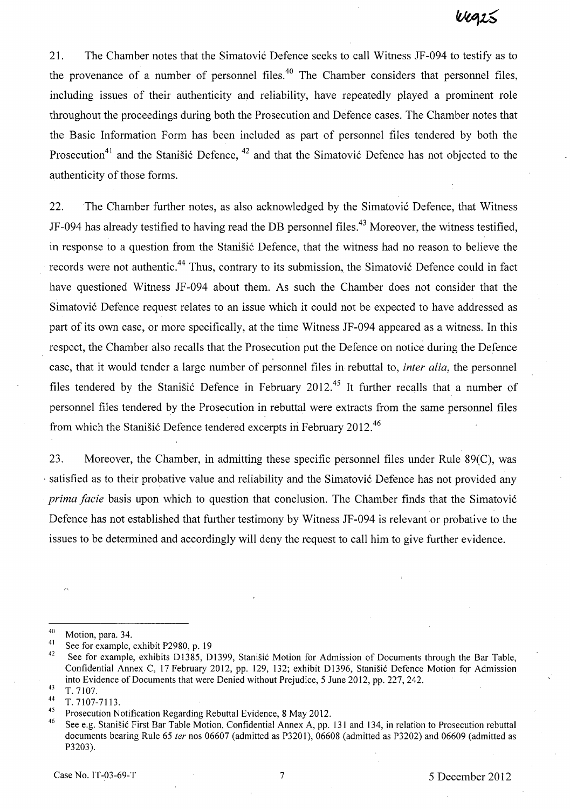21. The Chamber notes that the Simatović Defence seeks to call Witness JF-094 to testify as to the provenance of a number of personnel files.<sup>40</sup> The Chamber considers that personnel files, including issues of their authenticity and reliability, have repeatedly played a prominent role throughout the proceedings during both the Prosecution and Defence cases. The Chamber notes that the Basic Information Form has been included as part of personnel files tendered by both the Prosecution<sup>41</sup> and the Stanisic Defence,  $42$  and that the Simatovic Defence has not objected to the authenticity of those forms.

22. The Chamber further notes, as also acknowledged by the Simatović Defence, that Witness JF-094 has already testified to having read the DB personnel files.<sup>43</sup> Moreover, the witness testified, in response to a question from the Stanistic Defence, that the witness had no reason to believe the records were not authentic.<sup>44</sup> Thus, contrary to its submission, the Simatović Defence could in fact have questioned Witness IF -094 about them. As such the Chamber does not consider that the Simatović Defence request relates to an issue which it could not be expected to have addressed as part of its own case, or more specifically, at the time Witness IF-094 appeared as a witness. In this respect, the Chamber also recalls that the Prosecution put the Defence on notice during the Defence case, that it would tender a large number of personnel files in rebuttal to, *inter alia,* the personnel files tendered by the Stanisic Defence in February 2012.<sup>45</sup> It further recalls that a number of personnel files tendered by the Prosecution in rebuttal were extracts from the same personnel files from which the Stanišić Defence tendered excerpts in February 2012.<sup>46</sup>

23. Moreover, the Chamber, in admitting these specific personnel files under Rule 89(C), was , satisfied as to their probative value and reliability and the Simatovi6 Defence has not provided any *prima facie* basis upon which to question that conclusion. The Chamber finds that the Simatović Defence has not established that further testimony by Witness IF-094 is relevant or probative to the issues to be determined and accordingly will deny the request to call him to give further evidence.

 $^{40}$  Motion, para. 34.

<sup>&</sup>lt;sup>41</sup> See for example, exhibit P2980, p. 19<br><sup>42</sup> See for example, exhibits P1285, D.

See for example, exhibits D1385, D1399, Stanišić Motion for Admission of Documents through the Bar Table, Confidential Annex C, 17 February 2012, pp. 129, 132; exhibit D1396, Stanišić Defence Motion for Admission into Evidence of Documents that were Denied without Prejudice, 5 June 2012, pp. 227, 242.

 $\frac{43}{44}$  T. 7107.

 $\frac{44}{15}$  T. 7107-7113.

<sup>&</sup>lt;sup>45</sup> Prosecution Notification Regarding Rebuttal Evidence, 8 May 2012.

See e.g. Stanišić First Bar Table Motion, Confidential Annex A, pp. 131 and 134, in relation to Prosecution rebuttal documents bearing Rule 65 ter nos 06607 (admitted as P3201), 06608 (admitted as P3202) and 06609 (admitted as P3203).